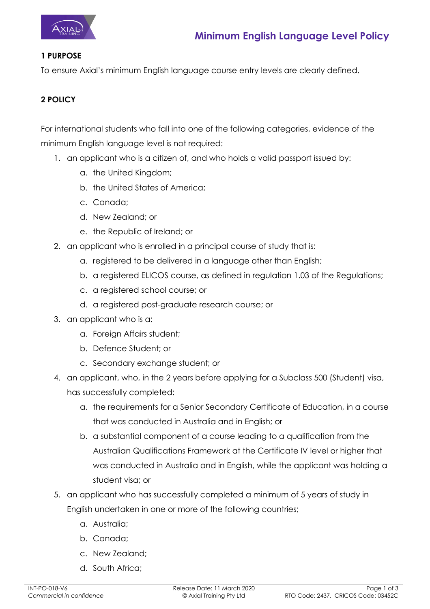

## **1 PURPOSE**

To ensure Axial's minimum English language course entry levels are clearly defined.

## **2 POLICY**

For international students who fall into one of the following categories, evidence of the minimum English language level is not required:

- 1. an applicant who is a citizen of, and who holds a valid passport issued by:
	- a. the United Kingdom;
	- b. the United States of America;
	- c. Canada;
	- d. New Zealand; or
	- e. the Republic of Ireland; or
- 2. an applicant who is enrolled in a principal course of study that is:
	- a. registered to be delivered in a language other than English;
	- b. a registered ELICOS course, as defined in regulation 1.03 of the Regulations;
	- c. a registered school course; or
	- d. a registered post-graduate research course; or
- 3. an applicant who is a:
	- a. Foreign Affairs student;
	- b. Defence Student; or
	- c. Secondary exchange student; or
- 4. an applicant, who, in the 2 years before applying for a Subclass 500 (Student) visa, has successfully completed:
	- a. the requirements for a Senior Secondary Certificate of Education, in a course that was conducted in Australia and in English; or
	- b. a substantial component of a course leading to a qualification from the Australian Qualifications Framework at the Certificate IV level or higher that was conducted in Australia and in English, while the applicant was holding a student visa; or
- 5. an applicant who has successfully completed a minimum of 5 years of study in English undertaken in one or more of the following countries;
	- a. Australia;
	- b. Canada;
	- c. New Zealand;
	- d. South Africa;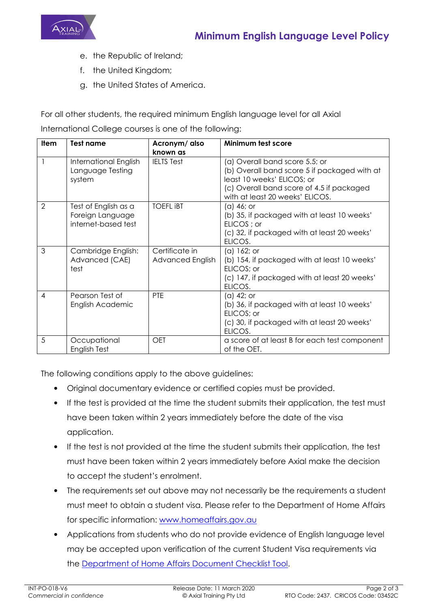

- e. the Republic of Ireland;
- f. the United Kingdom;
- g. the United States of America.

For all other students, the required minimum English language level for all Axial

International College courses is one of the following:

| <b>Item</b>    | Test name                                                       | Acronym/ also                      | Minimum test score                                                                                                                                                                           |
|----------------|-----------------------------------------------------------------|------------------------------------|----------------------------------------------------------------------------------------------------------------------------------------------------------------------------------------------|
|                |                                                                 | known as                           |                                                                                                                                                                                              |
|                | International English<br>Language Testing<br>system             | <b>IELTS Test</b>                  | (a) Overall band score 5.5; or<br>(b) Overall band score 5 if packaged with at<br>least 10 weeks' ELICOS; or<br>(c) Overall band score of 4.5 if packaged<br>with at least 20 weeks' ELICOS. |
| $\overline{2}$ | Test of English as a<br>Foreign Language<br>internet-based test | <b>TOEFL IBT</b>                   | (a) 46; or<br>(b) 35, if packaged with at least 10 weeks'<br>ELICOS; or<br>(c) 32, if packaged with at least 20 weeks'<br>ELICOS.                                                            |
| 3              | Cambridge English:<br>Advanced (CAE)<br>test                    | Certificate in<br>Advanced English | (a) 162; or<br>(b) 154, if packaged with at least 10 weeks'<br>ELICOS; or<br>(c) 147, if packaged with at least 20 weeks'<br>ELICOS.                                                         |
| $\overline{4}$ | Pearson Test of<br>English Academic                             | PTE                                | (a) 42; or<br>(b) 36, if packaged with at least 10 weeks'<br>ELICOS; or<br>(c) 30, if packaged with at least 20 weeks'<br>ELICOS.                                                            |
| 5              | Occupational<br>English Test                                    | <b>OET</b>                         | a score of at least B for each test component<br>of the OET.                                                                                                                                 |

The following conditions apply to the above guidelines:

- Original documentary evidence or certified copies must be provided.
- If the test is provided at the time the student submits their application, the test must have been taken within 2 years immediately before the date of the visa application.
- If the test is not provided at the time the student submits their application, the test must have been taken within 2 years immediately before Axial make the decision to accept the student's enrolment.
- The requirements set out above may not necessarily be the requirements a student must meet to obtain a student visa. Please refer to the Department of Home Affairs for specific information: www.homeaffairs.gov.au
- Applications from students who do not provide evidence of English language level may be accepted upon verification of the current Student Visa requirements via the Department of Home Affairs Document Checklist Tool.